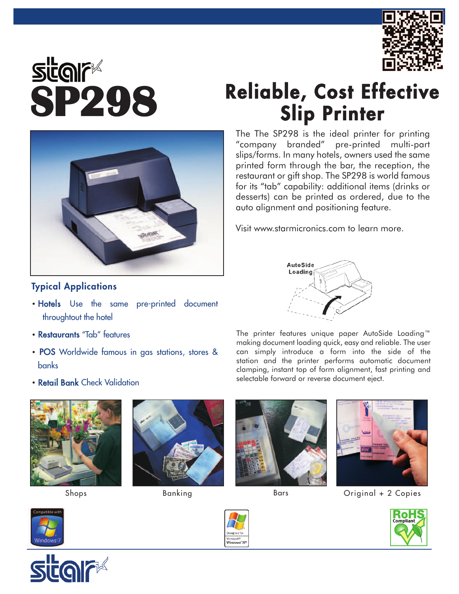

## **Reliable, Cost Effective**<br> **SP298** Reliable, Cost Effective<br>
Slip Printer

The The SP298 is the ideal printer for printing<br>"company branded" pre-printed multi-part

slips/forms. In many hotels, owners used the same printed form through the bar, the reception, the restaurant or gift shop. The SP298 is world famous for its "tab" capability: additional items (drinks or desserts) can be printed as ordered, due to the

auto alignment and positioning feature.

Visit www.starmicronics.com to learn more.

pre-printed multi-part



## **Typical Applications**

- Hotels Use the same pre-printed document throughtout the hotel
- Restaurants "Tab" features
- POS Worldwide famous in gas stations, stores & banks
- Retail Bank Check Validation









Shops Banking Bars Bars Original + 2 Copies











The printer features unique paper AutoSide Loading™ making document loading quick, easy and reliable. The user can simply introduce a form into the side of the station and the printer performs automatic document clamping, instant top of form alignment, fast printing and selectable forward or reverse document eject.